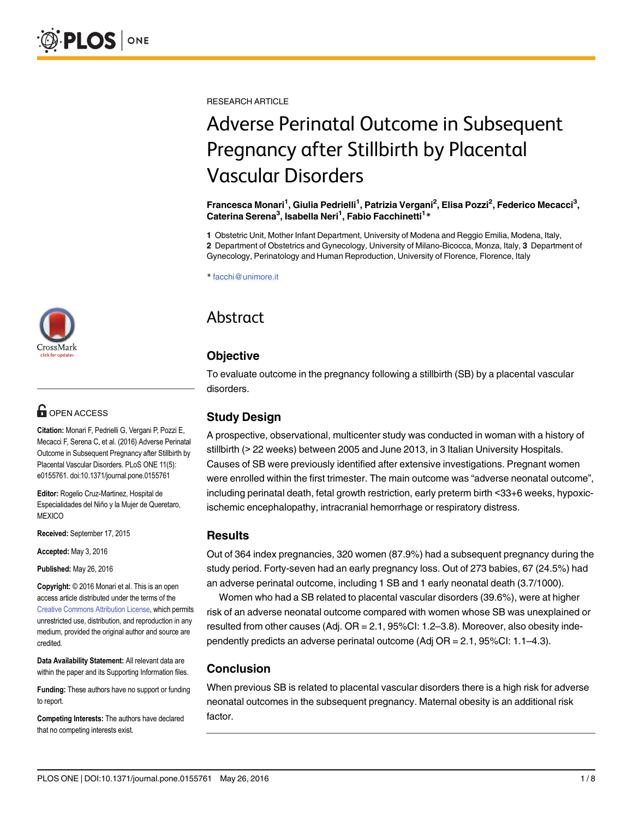RESEARCH ARTICLE

# Adverse Perinatal Outcome in Subsequent Pregnancy after Stillbirth by Placental Vascular Disorders

Francesca Monari<sup>1</sup>, Giulia Pedrielli<sup>1</sup>, Patrizia Vergani<sup>2</sup>, Elisa Pozzi<sup>2</sup>, Federico Mecacci<sup>3</sup>, Caterina Serena<sup>3</sup>, Isabella Neri<sup>1</sup>, Fabio Facchinetti<sup>1</sup>\*

1 Obstetric Unit, Mother Infant Department, University of Modena and Reggio Emilia, Modena, Italy, 2 Department of Obstetrics and Gynecology, University of Milano-Bicocca, Monza, Italy, 3 Department of

Gynecology, Perinatology and Human Reproduction, University of Florence, Florence, Italy

\* facchi@unimore.it

# Abstract

## **Objective**

To evaluate outcome in the pregnancy following a stillbirth (SB) by a placental vascular disorders.

## Study Design

A prospective, observational, multicenter study was conducted in woman with a history of stillbirth (> 22 weeks) between 2005 and June 2013, in 3 Italian University Hospitals. Causes of SB were previously identified after extensive investigations. Pregnant women were enrolled within the first trimester. The main outcome was "adverse neonatal outcome", including perinatal death, fetal growth restriction, early preterm birth <33+6 weeks, hypoxicischemic encephalopathy, intracranial hemorrhage or respiratory distress.

#### **Results**

Out of 364 index pregnancies, 320 women (87.9%) had a subsequent pregnancy during the study period. Forty-seven had an early pregnancy loss. Out of 273 babies, 67 (24.5%) had an adverse perinatal outcome, including 1 SB and 1 early neonatal death (3.7/1000).

Women who had a SB related to placental vascular disorders (39.6%), were at higher risk of an adverse neonatal outcome compared with women whose SB was unexplained or resulted from other causes (Adj. OR = 2.1, 95%CI: 1.2–3.8). Moreover, also obesity independently predicts an adverse perinatal outcome (Adj OR = 2.1, 95%CI: 1.1–4.3).

#### Conclusion

When previous SB is related to placental vascular disorders there is a high risk for adverse neonatal outcomes in the subsequent pregnancy. Maternal obesity is an additional risk factor.



# **G** OPEN ACCESS

Citation: Monari F, Pedrielli G, Vergani P, Pozzi E, Mecacci F, Serena C, et al. (2016) Adverse Perinatal Outcome in Subsequent Pregnancy after Stillbirth by Placental Vascular Disorders. PLoS ONE 11(5): e0155761. doi:10.1371/journal.pone.0155761

Editor: Rogelio Cruz-Martinez, Hospital de Especialidades del Niño y la Mujer de Queretaro, **MEXICO** 

Received: September 17, 2015

Accepted: May 3, 2016

Published: May 26, 2016

Copyright: © 2016 Monari et al. This is an open access article distributed under the terms of the [Creative Commons Attribution License,](http://creativecommons.org/licenses/by/4.0/) which permits unrestricted use, distribution, and reproduction in any medium, provided the original author and source are credited.

Data Availability Statement: All relevant data are within the paper and its Supporting Information files.

Funding: These authors have no support or funding to report.

Competing Interests: The authors have declared that no competing interests exist.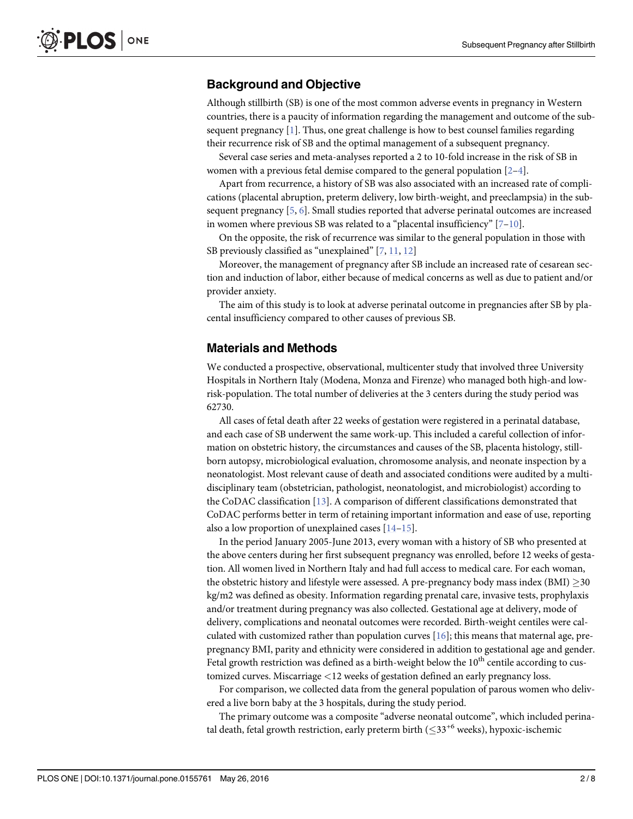#### <span id="page-1-0"></span>Background and Objective

Although stillbirth (SB) is one of the most common adverse events in pregnancy in Western countries, there is a paucity of information regarding the management and outcome of the subsequent pregnancy  $[1]$ . Thus, one great challenge is how to best counsel families regarding their recurrence risk of SB and the optimal management of a subsequent pregnancy.

Several case series and meta-analyses reported a 2 to 10-fold increase in the risk of SB in women with a previous fetal demise compared to the general population  $[2-4]$  $[2-4]$  $[2-4]$ .

Apart from recurrence, a history of SB was also associated with an increased rate of complications (placental abruption, preterm delivery, low birth-weight, and preeclampsia) in the subsequent pregnancy  $[5, 6]$  $[5, 6]$  $[5, 6]$  $[5, 6]$ . Small studies reported that adverse perinatal outcomes are increased in women where previous SB was related to a "placental insufficiency"  $[7-10]$  $[7-10]$  $[7-10]$ .

On the opposite, the risk of recurrence was similar to the general population in those with SB previously classified as "unexplained"  $[7, 11, 12]$  $[7, 11, 12]$  $[7, 11, 12]$  $[7, 11, 12]$  $[7, 11, 12]$  $[7, 11, 12]$ 

Moreover, the management of pregnancy after SB include an increased rate of cesarean section and induction of labor, either because of medical concerns as well as due to patient and/or provider anxiety.

The aim of this study is to look at adverse perinatal outcome in pregnancies after SB by placental insufficiency compared to other causes of previous SB.

#### Materials and Methods

We conducted a prospective, observational, multicenter study that involved three University Hospitals in Northern Italy (Modena, Monza and Firenze) who managed both high-and lowrisk-population. The total number of deliveries at the 3 centers during the study period was 62730.

All cases of fetal death after 22 weeks of gestation were registered in a perinatal database, and each case of SB underwent the same work-up. This included a careful collection of information on obstetric history, the circumstances and causes of the SB, placenta histology, stillborn autopsy, microbiological evaluation, chromosome analysis, and neonate inspection by a neonatologist. Most relevant cause of death and associated conditions were audited by a multidisciplinary team (obstetrician, pathologist, neonatologist, and microbiologist) according to the CoDAC classification [[13\]](#page-7-0). A comparison of different classifications demonstrated that CoDAC performs better in term of retaining important information and ease of use, reporting also a low proportion of unexplained cases  $[14–15]$  $[14–15]$  $[14–15]$  $[14–15]$  $[14–15]$ .

In the period January 2005-June 2013, every woman with a history of SB who presented at the above centers during her first subsequent pregnancy was enrolled, before 12 weeks of gestation. All women lived in Northern Italy and had full access to medical care. For each woman, the obstetric history and lifestyle were assessed. A pre-pregnancy body mass index (BMI)  $\geq$  30 kg/m2 was defined as obesity. Information regarding prenatal care, invasive tests, prophylaxis and/or treatment during pregnancy was also collected. Gestational age at delivery, mode of delivery, complications and neonatal outcomes were recorded. Birth-weight centiles were calculated with customized rather than population curves  $[16]$  $[16]$ ; this means that maternal age, prepregnancy BMI, parity and ethnicity were considered in addition to gestational age and gender. Fetal growth restriction was defined as a birth-weight below the  $10<sup>th</sup>$  centile according to customized curves. Miscarriage <12 weeks of gestation defined an early pregnancy loss.

For comparison, we collected data from the general population of parous women who delivered a live born baby at the 3 hospitals, during the study period.

The primary outcome was a composite "adverse neonatal outcome", which included perinatal death, fetal growth restriction, early preterm birth ( $\leq 33^{+6}$  weeks), hypoxic-ischemic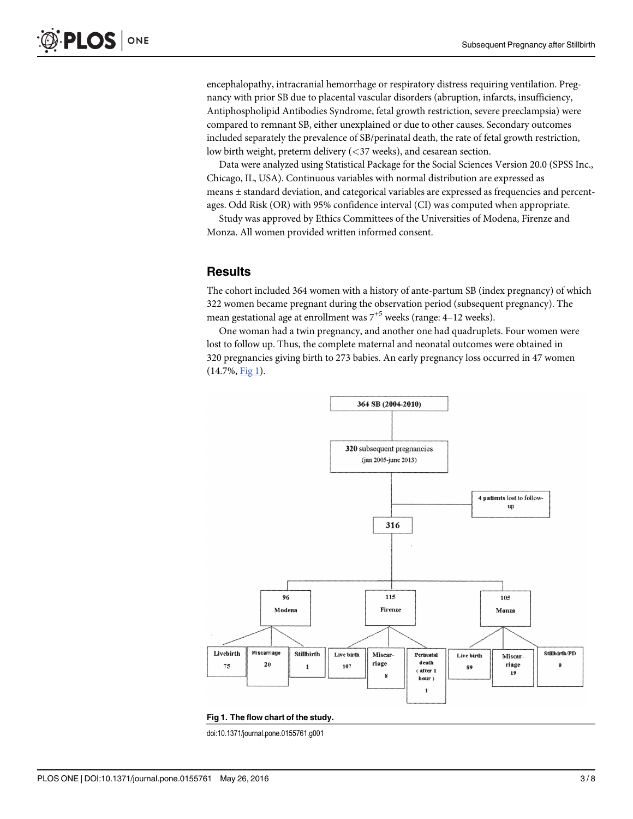<span id="page-2-0"></span>encephalopathy, intracranial hemorrhage or respiratory distress requiring ventilation. Pregnancy with prior SB due to placental vascular disorders (abruption, infarcts, insufficiency, Antiphospholipid Antibodies Syndrome, fetal growth restriction, severe preeclampsia) were compared to remnant SB, either unexplained or due to other causes. Secondary outcomes included separately the prevalence of SB/perinatal death, the rate of fetal growth restriction, low birth weight, preterm delivery (<37 weeks), and cesarean section.

Data were analyzed using Statistical Package for the Social Sciences Version 20.0 (SPSS Inc., Chicago, IL, USA). Continuous variables with normal distribution are expressed as means ± standard deviation, and categorical variables are expressed as frequencies and percentages. Odd Risk (OR) with 95% confidence interval (CI) was computed when appropriate.

Study was approved by Ethics Committees of the Universities of Modena, Firenze and Monza. All women provided written informed consent.

#### **Results**

The cohort included 364 women with a history of ante-partum SB (index pregnancy) of which 322 women became pregnant during the observation period (subsequent pregnancy). The mean gestational age at enrollment was  $7^{+5}$  weeks (range: 4–12 weeks).

One woman had a twin pregnancy, and another one had quadruplets. Four women were lost to follow up. Thus, the complete maternal and neonatal outcomes were obtained in 320 pregnancies giving birth to 273 babies. An early pregnancy loss occurred in 47 women (14.7%, Fig 1).



#### Fig 1. The flow chart of the study.

doi:10.1371/journal.pone.0155761.g001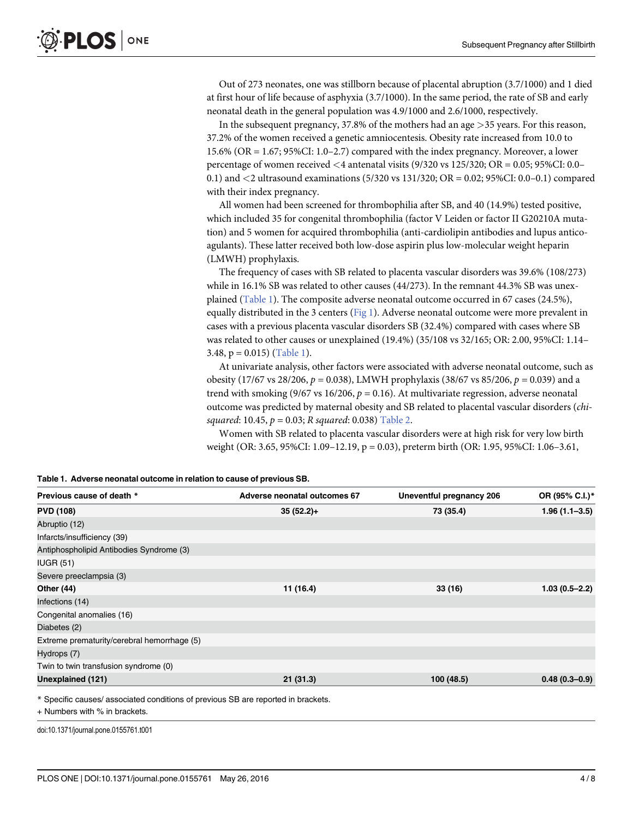<span id="page-3-0"></span>Out of 273 neonates, one was stillborn because of placental abruption (3.7/1000) and 1 died at first hour of life because of asphyxia (3.7/1000). In the same period, the rate of SB and early neonatal death in the general population was 4.9/1000 and 2.6/1000, respectively.

In the subsequent pregnancy, 37.8% of the mothers had an age >35 years. For this reason, 37.2% of the women received a genetic amniocentesis. Obesity rate increased from 10.0 to 15.6% (OR = 1.67; 95%CI: 1.0–2.7) compared with the index pregnancy. Moreover, a lower percentage of women received <4 antenatal visits (9/320 vs 125/320; OR = 0.05; 95%CI: 0.0– 0.1) and <2 ultrasound examinations (5/320 vs 131/320; OR = 0.02; 95%CI: 0.0–0.1) compared with their index pregnancy.

All women had been screened for thrombophilia after SB, and 40 (14.9%) tested positive, which included 35 for congenital thrombophilia (factor V Leiden or factor II G20210A mutation) and 5 women for acquired thrombophilia (anti-cardiolipin antibodies and lupus anticoagulants). These latter received both low-dose aspirin plus low-molecular weight heparin (LMWH) prophylaxis.

The frequency of cases with SB related to placenta vascular disorders was 39.6% (108/273) while in 16.1% SB was related to other causes (44/273). In the remnant 44.3% SB was unexplained (Table 1). The composite adverse neonatal outcome occurred in 67 cases (24.5%), equally distributed in the 3 centers [\(Fig 1](#page-2-0)). Adverse neonatal outcome were more prevalent in cases with a previous placenta vascular disorders SB (32.4%) compared with cases where SB was related to other causes or unexplained (19.4%) (35/108 vs 32/165; OR: 2.00, 95%CI: 1.14– 3.48,  $p = 0.015$ ) (Table 1).

At univariate analysis, other factors were associated with adverse neonatal outcome, such as obesity (17/67 vs 28/206,  $p = 0.038$ ), LMWH prophylaxis (38/67 vs 85/206,  $p = 0.039$ ) and a trend with smoking (9/67 vs 16/206,  $p = 0.16$ ). At multivariate regression, adverse neonatal outcome was predicted by maternal obesity and SB related to placental vascular disorders (chisquared: 10.45,  $p = 0.03$ ; R squared: 0.038) [Table 2.](#page-4-0)

Women with SB related to placenta vascular disorders were at high risk for very low birth weight (OR: 3.65, 95%CI: 1.09–12.19, p = 0.03), preterm birth (OR: 1.95, 95%CI: 1.06–3.61,

| Table 1. Adverse neonatal outcome in relation to cause of previous SB. |  |
|------------------------------------------------------------------------|--|
|------------------------------------------------------------------------|--|

| Previous cause of death *                   | Adverse neonatal outcomes 67 | Uneventful pregnancy 206 | OR (95% C.I.)*    |
|---------------------------------------------|------------------------------|--------------------------|-------------------|
| <b>PVD (108)</b>                            | $35(52.2)+$                  | 73 (35.4)                | $1.96(1.1 - 3.5)$ |
| Abruptio (12)                               |                              |                          |                   |
| Infarcts/insufficiency (39)                 |                              |                          |                   |
| Antiphospholipid Antibodies Syndrome (3)    |                              |                          |                   |
| IUGR(51)                                    |                              |                          |                   |
| Severe preeclampsia (3)                     |                              |                          |                   |
| <b>Other (44)</b>                           | 11 (16.4)                    | 33(16)                   | $1.03(0.5-2.2)$   |
| Infections (14)                             |                              |                          |                   |
| Congenital anomalies (16)                   |                              |                          |                   |
| Diabetes (2)                                |                              |                          |                   |
| Extreme prematurity/cerebral hemorrhage (5) |                              |                          |                   |
| Hydrops (7)                                 |                              |                          |                   |
| Twin to twin transfusion syndrome (0)       |                              |                          |                   |
| Unexplained (121)                           | 21(31.3)                     | 100 (48.5)               | $0.48(0.3-0.9)$   |

+ Numbers with % in brackets.

doi:10.1371/journal.pone.0155761.t001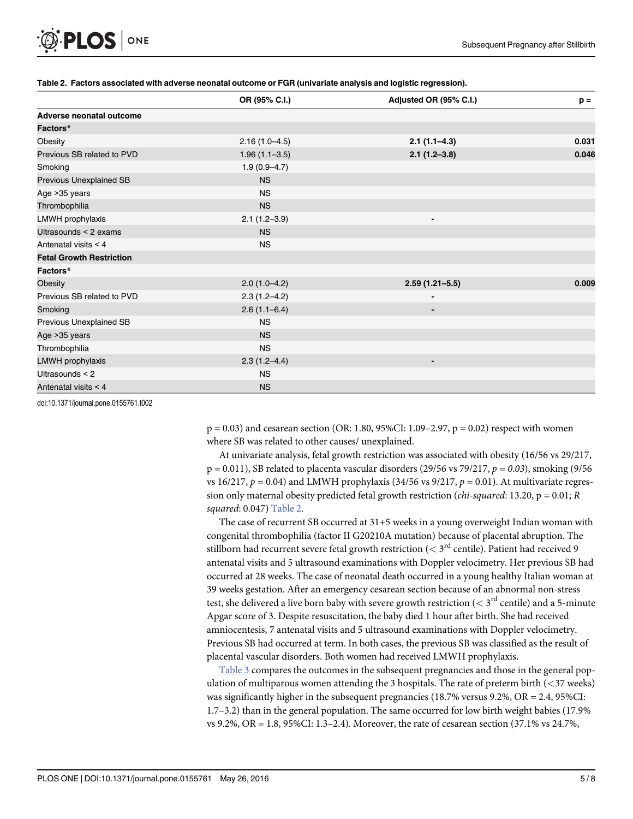<span id="page-4-0"></span>

|                                 | OR (95% C.I.)     | Adjusted OR (95% C.I.) | $p =$ |
|---------------------------------|-------------------|------------------------|-------|
| Adverse neonatal outcome        |                   |                        |       |
| Factors*                        |                   |                        |       |
| Obesity                         | $2.16(1.0-4.5)$   | $2.1(1.1-4.3)$         | 0.031 |
| Previous SB related to PVD      | $1.96(1.1 - 3.5)$ | $2.1(1.2-3.8)$         | 0.046 |
| Smoking                         | $1.9(0.9 - 4.7)$  |                        |       |
| Previous Unexplained SB         | <b>NS</b>         |                        |       |
| Age > 35 years                  | <b>NS</b>         |                        |       |
| Thrombophilia                   | <b>NS</b>         |                        |       |
| LMWH prophylaxis                | $2.1(1.2 - 3.9)$  | $\blacksquare$         |       |
| Ultrasounds < 2 exams           | <b>NS</b>         |                        |       |
| Antenatal visits < 4            | <b>NS</b>         |                        |       |
| <b>Fetal Growth Restriction</b> |                   |                        |       |
| Factors*                        |                   |                        |       |
| Obesity                         | $2.0(1.0-4.2)$    | $2.59(1.21 - 5.5)$     | 0.009 |
| Previous SB related to PVD      | $2.3(1.2 - 4.2)$  |                        |       |
| Smoking                         | $2.6(1.1-6.4)$    |                        |       |
| Previous Unexplained SB         | <b>NS</b>         |                        |       |
| Age >35 years                   | <b>NS</b>         |                        |       |
| Thrombophilia                   | <b>NS</b>         |                        |       |
| LMWH prophylaxis                | $2.3(1.2 - 4.4)$  | ٠                      |       |
| Ultrasounds < 2                 | <b>NS</b>         |                        |       |
| Antenatal visits < 4            | <b>NS</b>         |                        |       |

#### [Table 2.](#page-3-0) Factors associated with adverse neonatal outcome or FGR (univariate analysis and logistic regression).

doi:10.1371/journal.pone.0155761.t002

 $p = 0.03$ ) and cesarean section (OR: 1.80, 95%CI: 1.09–2.97,  $p = 0.02$ ) respect with women where SB was related to other causes/ unexplained.

At univariate analysis, fetal growth restriction was associated with obesity (16/56 vs 29/217,  $p = 0.011$ ), SB related to placenta vascular disorders (29/56 vs 79/217,  $p = 0.03$ ), smoking (9/56 vs 16/217,  $p = 0.04$ ) and LMWH prophylaxis (34/56 vs 9/217,  $p = 0.01$ ). At multivariate regression only maternal obesity predicted fetal growth restriction (*chi-squared*: 13.20,  $p = 0.01; R$ squared: 0.047) Table 2.

The case of recurrent SB occurred at 31+5 weeks in a young overweight Indian woman with congenital thrombophilia (factor II G20210A mutation) because of placental abruption. The stillborn had recurrent severe fetal growth restriction ( $\lt 3^{rd}$  centile). Patient had received 9 antenatal visits and 5 ultrasound examinations with Doppler velocimetry. Her previous SB had occurred at 28 weeks. The case of neonatal death occurred in a young healthy Italian woman at 39 weeks gestation. After an emergency cesarean section because of an abnormal non-stress test, she delivered a live born baby with severe growth restriction ( $\lt 3^{rd}$  centile) and a 5-minute Apgar score of 3. Despite resuscitation, the baby died 1 hour after birth. She had received amniocentesis, 7 antenatal visits and 5 ultrasound examinations with Doppler velocimetry. Previous SB had occurred at term. In both cases, the previous SB was classified as the result of placental vascular disorders. Both women had received LMWH prophylaxis.

[Table 3](#page-5-0) compares the outcomes in the subsequent pregnancies and those in the general population of multiparous women attending the 3 hospitals. The rate of preterm birth  $(*37* weeks)$ was significantly higher in the subsequent pregnancies (18.7% versus 9.2%, OR = 2.4, 95%CI: 1.7–3.2) than in the general population. The same occurred for low birth weight babies (17.9% vs 9.2%, OR = 1.8, 95%CI: 1.3–2.4). Moreover, the rate of cesarean section (37.1% vs 24.7%,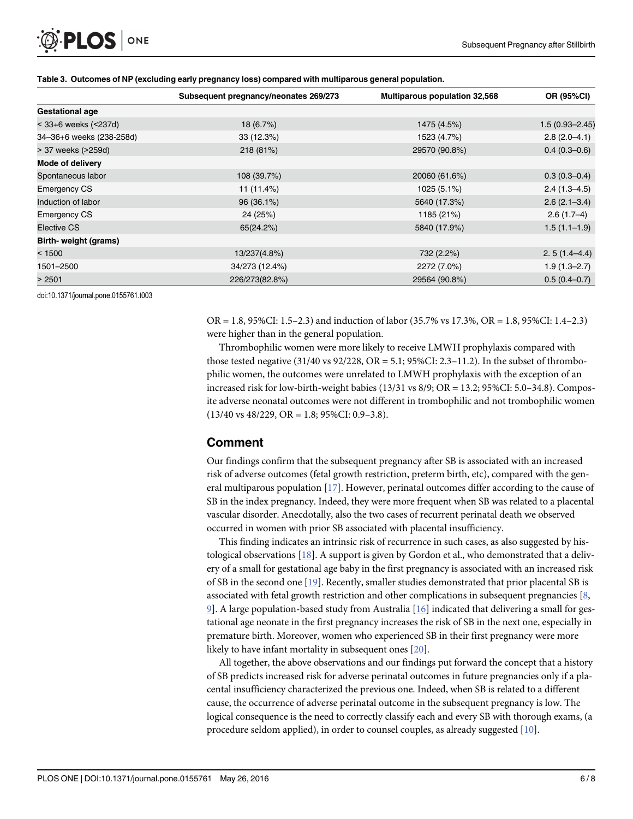|                          | Subsequent pregnancy/neonates 269/273 | <b>Multiparous population 32,568</b> | OR (95%CI)         |
|--------------------------|---------------------------------------|--------------------------------------|--------------------|
| <b>Gestational age</b>   |                                       |                                      |                    |
| < 33+6 weeks (<237d)     | 18(6.7%)                              | 1475 (4.5%)                          | $1.5(0.93 - 2.45)$ |
| 34-36+6 weeks (238-258d) | 33(12.3%)                             | 1523 (4.7%)                          | $2.8(2.0-4.1)$     |
| > 37 weeks (>259d)       | 218 (81%)                             | 29570 (90.8%)                        | $0.4(0.3-0.6)$     |
| <b>Mode of delivery</b>  |                                       |                                      |                    |
| Spontaneous labor        | 108 (39.7%)                           | 20060 (61.6%)                        | $0.3(0.3-0.4)$     |
| <b>Emergency CS</b>      | 11 (11.4%)                            | 1025 (5.1%)                          | $2.4(1.3 - 4.5)$   |
| Induction of labor       | 96 (36.1%)                            | 5640 (17.3%)                         | $2.6(2.1-3.4)$     |
| <b>Emergency CS</b>      | 24 (25%)                              | 1185 (21%)                           | $2.6(1.7-4)$       |
| Elective CS              | 65(24.2%)                             | 5840 (17.9%)                         | $1.5(1.1-1.9)$     |
| Birth- weight (grams)    |                                       |                                      |                    |
| < 1500                   | 13/237(4.8%)                          | 732 (2.2%)                           | $2.5(1.4-4.4)$     |
| 1501-2500                | 34/273 (12.4%)                        | 2272 (7.0%)                          | $1.9(1.3 - 2.7)$   |
| > 2501                   | 226/273(82.8%)                        | 29564 (90.8%)                        | $0.5(0.4-0.7)$     |

#### [Table 3.](#page-4-0) Outcomes of NP (excluding early pregnancy loss) compared with multiparous general population.

doi:10.1371/journal.pone.0155761.t003

<span id="page-5-0"></span>PLOS ONE

OR = 1.8, 95%CI: 1.5–2.3) and induction of labor (35.7% vs 17.3%, OR = 1.8, 95%CI: 1.4–2.3) were higher than in the general population.

Thrombophilic women were more likely to receive LMWH prophylaxis compared with those tested negative  $(31/40 \text{ vs } 92/228, \text{ OR } = 5.1; 95\% \text{ CI: } 2.3-11.2)$ . In the subset of thrombophilic women, the outcomes were unrelated to LMWH prophylaxis with the exception of an increased risk for low-birth-weight babies (13/31 vs 8/9; OR = 13.2; 95%CI: 5.0–34.8). Composite adverse neonatal outcomes were not different in trombophilic and not trombophilic women  $(13/40 \text{ vs } 48/229, \text{ OR} = 1.8; 95\% \text{ CI: } 0.9-3.8).$ 

#### Comment

Our findings confirm that the subsequent pregnancy after SB is associated with an increased risk of adverse outcomes (fetal growth restriction, preterm birth, etc), compared with the general multiparous population  $[17]$  $[17]$  $[17]$ . However, perinatal outcomes differ according to the cause of SB in the index pregnancy. Indeed, they were more frequent when SB was related to a placental vascular disorder. Anecdotally, also the two cases of recurrent perinatal death we observed occurred in women with prior SB associated with placental insufficiency.

This finding indicates an intrinsic risk of recurrence in such cases, as also suggested by histological observations [[18](#page-7-0)]. A support is given by Gordon et al., who demonstrated that a delivery of a small for gestational age baby in the first pregnancy is associated with an increased risk of SB in the second one [[19](#page-7-0)]. Recently, smaller studies demonstrated that prior placental SB is associated with fetal growth restriction and other complications in subsequent pregnancies [\[8,](#page-7-0) [9\]](#page-7-0). A large population-based study from Australia [[16](#page-7-0)] indicated that delivering a small for gestational age neonate in the first pregnancy increases the risk of SB in the next one, especially in premature birth. Moreover, women who experienced SB in their first pregnancy were more likely to have infant mortality in subsequent ones [\[20\]](#page-7-0).

All together, the above observations and our findings put forward the concept that a history of SB predicts increased risk for adverse perinatal outcomes in future pregnancies only if a placental insufficiency characterized the previous one. Indeed, when SB is related to a different cause, the occurrence of adverse perinatal outcome in the subsequent pregnancy is low. The logical consequence is the need to correctly classify each and every SB with thorough exams, (a procedure seldom applied), in order to counsel couples, as already suggested [[10](#page-7-0)].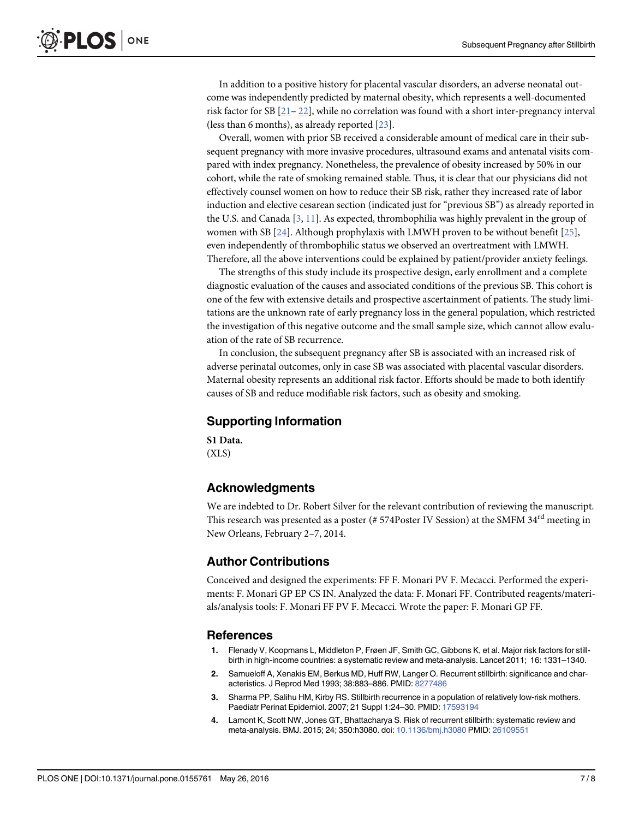<span id="page-6-0"></span>In addition to a positive history for placental vascular disorders, an adverse neonatal outcome was independently predicted by maternal obesity, which represents a well-documented risk factor for SB [[21](#page-7-0)– [22](#page-7-0)], while no correlation was found with a short inter-pregnancy interval (less than 6 months), as already reported [\[23\]](#page-7-0).

Overall, women with prior SB received a considerable amount of medical care in their subsequent pregnancy with more invasive procedures, ultrasound exams and antenatal visits compared with index pregnancy. Nonetheless, the prevalence of obesity increased by 50% in our cohort, while the rate of smoking remained stable. Thus, it is clear that our physicians did not effectively counsel women on how to reduce their SB risk, rather they increased rate of labor induction and elective cesarean section (indicated just for "previous SB") as already reported in the U.S. and Canada [3, [11](#page-7-0)]. As expected, thrombophilia was highly prevalent in the group of women with SB  $[24]$  $[24]$  $[24]$ . Although prophylaxis with LMWH proven to be without benefit  $[25]$  $[25]$  $[25]$ , even independently of thrombophilic status we observed an overtreatment with LMWH. Therefore, all the above interventions could be explained by patient/provider anxiety feelings.

The strengths of this study include its prospective design, early enrollment and a complete diagnostic evaluation of the causes and associated conditions of the previous SB. This cohort is one of the few with extensive details and prospective ascertainment of patients. The study limitations are the unknown rate of early pregnancy loss in the general population, which restricted the investigation of this negative outcome and the small sample size, which cannot allow evaluation of the rate of SB recurrence.

In conclusion, the subsequent pregnancy after SB is associated with an increased risk of adverse perinatal outcomes, only in case SB was associated with placental vascular disorders. Maternal obesity represents an additional risk factor. Efforts should be made to both identify causes of SB and reduce modifiable risk factors, such as obesity and smoking.

#### Supporting Information

[S1 Data](http://www.plosone.org/article/fetchSingleRepresentation.action?uri=info:doi/10.1371/journal.pone.0155761.s001). (XLS)

## Acknowledgments

We are indebted to Dr. Robert Silver for the relevant contribution of reviewing the manuscript. This research was presented as a poster (#  $574$ Poster IV Session) at the SMFM  $34<sup>rd</sup>$  meeting in New Orleans, February 2–7, 2014.

## Author Contributions

Conceived and designed the experiments: FF F. Monari PV F. Mecacci. Performed the experiments: F. Monari GP EP CS IN. Analyzed the data: F. Monari FF. Contributed reagents/materials/analysis tools: F. Monari FF PV F. Mecacci. Wrote the paper: F. Monari GP FF.

#### References

- [1.](#page-1-0) Flenady V, Koopmans L, Middleton P, Frøen JF, Smith GC, Gibbons K, et al. Major risk factors for stillbirth in high-income countries: a systematic review and meta-analysis. Lancet 2011; 16: 1331–1340.
- [2.](#page-1-0) Samueloff A, Xenakis EM, Berkus MD, Huff RW, Langer O. Recurrent stillbirth: significance and characteristics. J Reprod Med 1993; 38:883–886. PMID: [8277486](http://www.ncbi.nlm.nih.gov/pubmed/8277486)
- 3. Sharma PP, Salihu HM, Kirby RS. Stillbirth recurrence in a population of relatively low-risk mothers. Paediatr Perinat Epidemiol. 2007; 21 Suppl 1:24–30. PMID: [17593194](http://www.ncbi.nlm.nih.gov/pubmed/17593194)
- [4.](#page-1-0) Lamont K, Scott NW, Jones GT, Bhattacharya S. Risk of recurrent stillbirth: systematic review and meta-analysis. BMJ. 2015; 24; 350:h3080. doi: [10.1136/bmj.h3080](http://dx.doi.org/10.1136/bmj.h3080) PMID: [26109551](http://www.ncbi.nlm.nih.gov/pubmed/26109551)